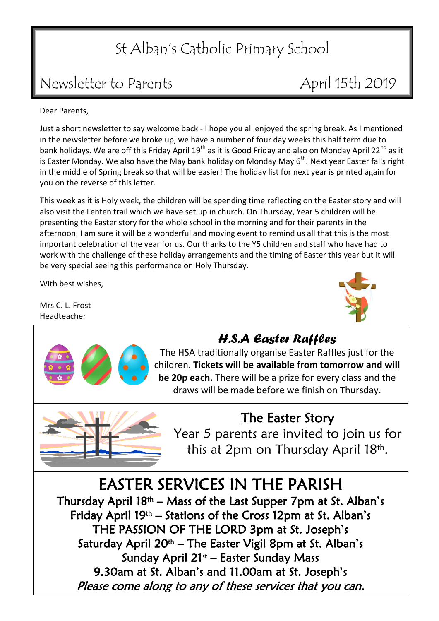# St Alban's Catholic Primary School

## Newsletter to Parents April 15th 2019

Dear Parents,

Just a short newsletter to say welcome back - I hope you all enjoyed the spring break. As I mentioned in the newsletter before we broke up, we have a number of four day weeks this half term due to bank holidays. We are off this Friday April  $19^{th}$  as it is Good Friday and also on Monday April 22<sup>nd</sup> as it is Easter Monday. We also have the May bank holiday on Monday May  $6<sup>th</sup>$ . Next year Easter falls right in the middle of Spring break so that will be easier! The holiday list for next year is printed again for you on the reverse of this letter.

This week as it is Holy week, the children will be spending time reflecting on the Easter story and will also visit the Lenten trail which we have set up in church. On Thursday, Year 5 children will be presenting the Easter story for the whole school in the morning and for their parents in the afternoon. I am sure it will be a wonderful and moving event to remind us all that this is the most important celebration of the year for us. Our thanks to the Y5 children and staff who have had to work with the challenge of these holiday arrangements and the timing of Easter this year but it will be very special seeing this performance on Holy Thursday.

With best wishes,

Mrs C. L. Frost Headteacher





### *H.S.A Easter Raffles*

The HSA traditionally organise Easter Raffles just for the children. **Tickets will be available from tomorrow and will be 20p each.** There will be a prize for every class and the draws will be made before we finish on Thursday.

## The Easter Story

Year 5 parents are invited to join us for this at 2pm on Thursday April 18<sup>th</sup>.

# EASTER SERVICES IN THE PARISH

Thursday April  $18<sup>th</sup>$  – Mass of the Last Supper 7pm at St. Alban's Friday April 19<sup>th</sup> – Stations of the Cross 12pm at St. Alban's THE PASSION OF THE LORD 3pm at St. Joseph's Saturday April 20<sup>th</sup> – The Easter Vigil 8pm at St. Alban's Sunday April 21<sup>st</sup> – Easter Sunday Mass 9.30am at St. Alban's and 11.00am at St. Joseph's Please come along to any of these services that you can.